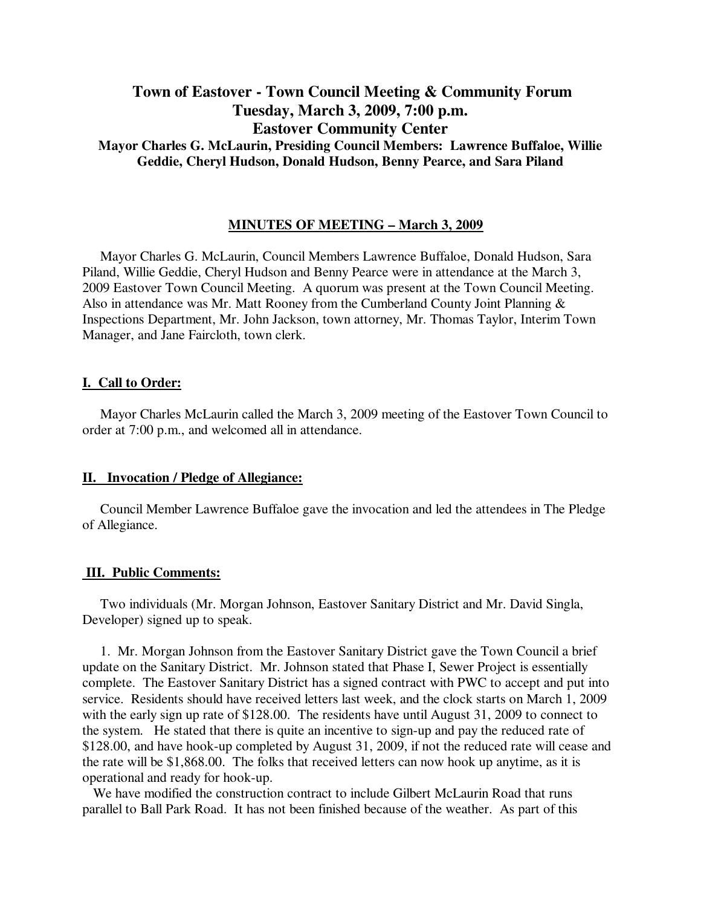# **Town of Eastover - Town Council Meeting & Community Forum Tuesday, March 3, 2009, 7:00 p.m. Eastover Community Center Mayor Charles G. McLaurin, Presiding Council Members: Lawrence Buffaloe, Willie Geddie, Cheryl Hudson, Donald Hudson, Benny Pearce, and Sara Piland**

## **MINUTES OF MEETING – March 3, 2009**

Mayor Charles G. McLaurin, Council Members Lawrence Buffaloe, Donald Hudson, Sara Piland, Willie Geddie, Cheryl Hudson and Benny Pearce were in attendance at the March 3, 2009 Eastover Town Council Meeting. A quorum was present at the Town Council Meeting. Also in attendance was Mr. Matt Rooney from the Cumberland County Joint Planning & Inspections Department, Mr. John Jackson, town attorney, Mr. Thomas Taylor, Interim Town Manager, and Jane Faircloth, town clerk.

## **I. Call to Order:**

Mayor Charles McLaurin called the March 3, 2009 meeting of the Eastover Town Council to order at 7:00 p.m., and welcomed all in attendance.

## **II. Invocation / Pledge of Allegiance:**

 Council Member Lawrence Buffaloe gave the invocation and led the attendees in The Pledge of Allegiance.

## **III. Public Comments:**

Two individuals (Mr. Morgan Johnson, Eastover Sanitary District and Mr. David Singla, Developer) signed up to speak.

 1. Mr. Morgan Johnson from the Eastover Sanitary District gave the Town Council a brief update on the Sanitary District. Mr. Johnson stated that Phase I, Sewer Project is essentially complete. The Eastover Sanitary District has a signed contract with PWC to accept and put into service. Residents should have received letters last week, and the clock starts on March 1, 2009 with the early sign up rate of \$128.00. The residents have until August 31, 2009 to connect to the system. He stated that there is quite an incentive to sign-up and pay the reduced rate of \$128.00, and have hook-up completed by August 31, 2009, if not the reduced rate will cease and the rate will be \$1,868.00. The folks that received letters can now hook up anytime, as it is operational and ready for hook-up.

 We have modified the construction contract to include Gilbert McLaurin Road that runs parallel to Ball Park Road. It has not been finished because of the weather. As part of this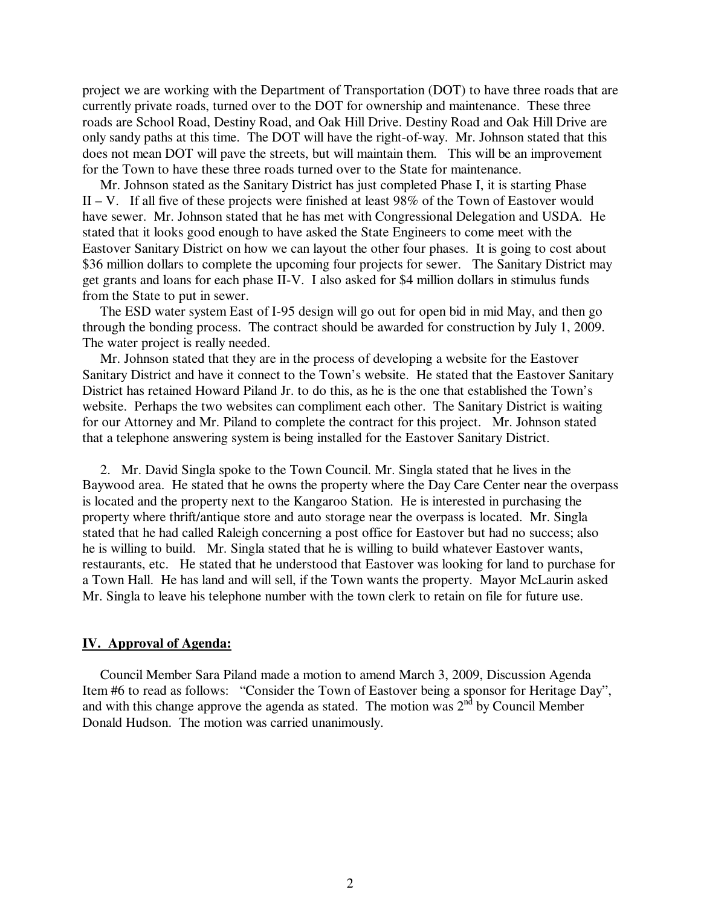project we are working with the Department of Transportation (DOT) to have three roads that are currently private roads, turned over to the DOT for ownership and maintenance. These three roads are School Road, Destiny Road, and Oak Hill Drive. Destiny Road and Oak Hill Drive are only sandy paths at this time. The DOT will have the right-of-way. Mr. Johnson stated that this does not mean DOT will pave the streets, but will maintain them. This will be an improvement for the Town to have these three roads turned over to the State for maintenance.

 Mr. Johnson stated as the Sanitary District has just completed Phase I, it is starting Phase II – V. If all five of these projects were finished at least  $98\%$  of the Town of Eastover would have sewer. Mr. Johnson stated that he has met with Congressional Delegation and USDA. He stated that it looks good enough to have asked the State Engineers to come meet with the Eastover Sanitary District on how we can layout the other four phases. It is going to cost about \$36 million dollars to complete the upcoming four projects for sewer. The Sanitary District may get grants and loans for each phase II-V. I also asked for \$4 million dollars in stimulus funds from the State to put in sewer.

 The ESD water system East of I-95 design will go out for open bid in mid May, and then go through the bonding process. The contract should be awarded for construction by July 1, 2009. The water project is really needed.

 Mr. Johnson stated that they are in the process of developing a website for the Eastover Sanitary District and have it connect to the Town's website. He stated that the Eastover Sanitary District has retained Howard Piland Jr. to do this, as he is the one that established the Town's website. Perhaps the two websites can compliment each other. The Sanitary District is waiting for our Attorney and Mr. Piland to complete the contract for this project. Mr. Johnson stated that a telephone answering system is being installed for the Eastover Sanitary District.

 2. Mr. David Singla spoke to the Town Council. Mr. Singla stated that he lives in the Baywood area. He stated that he owns the property where the Day Care Center near the overpass is located and the property next to the Kangaroo Station. He is interested in purchasing the property where thrift/antique store and auto storage near the overpass is located. Mr. Singla stated that he had called Raleigh concerning a post office for Eastover but had no success; also he is willing to build. Mr. Singla stated that he is willing to build whatever Eastover wants, restaurants, etc. He stated that he understood that Eastover was looking for land to purchase for a Town Hall. He has land and will sell, if the Town wants the property. Mayor McLaurin asked Mr. Singla to leave his telephone number with the town clerk to retain on file for future use.

## **IV. Approval of Agenda:**

 Council Member Sara Piland made a motion to amend March 3, 2009, Discussion Agenda Item #6 to read as follows: "Consider the Town of Eastover being a sponsor for Heritage Day", and with this change approve the agenda as stated. The motion was  $2<sup>nd</sup>$  by Council Member Donald Hudson. The motion was carried unanimously.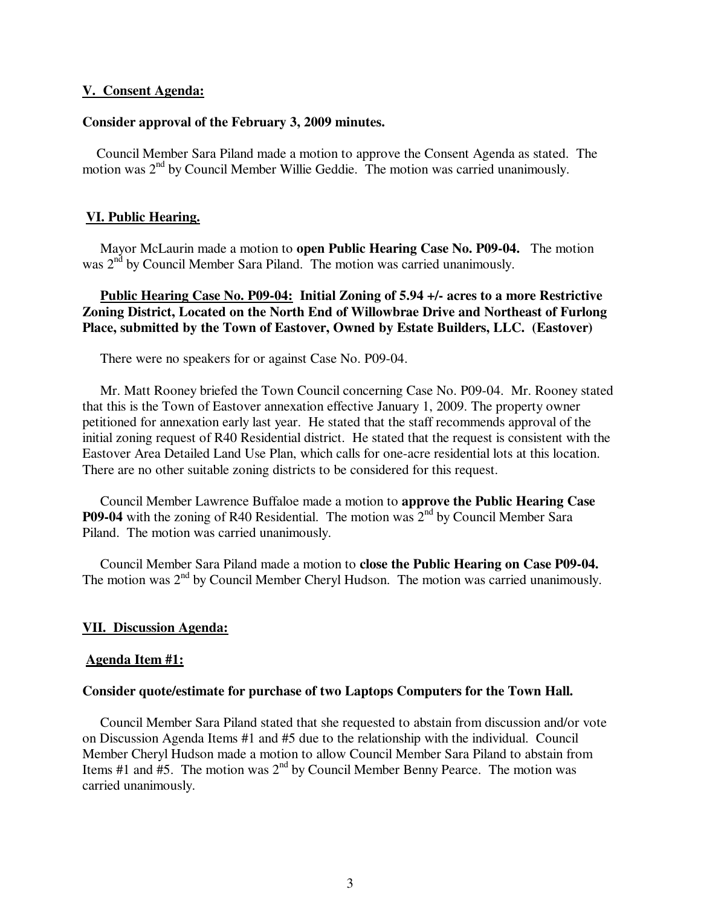#### **V. Consent Agenda:**

## **Consider approval of the February 3, 2009 minutes.**

 Council Member Sara Piland made a motion to approve the Consent Agenda as stated. The motion was 2<sup>nd</sup> by Council Member Willie Geddie. The motion was carried unanimously.

#### **VI. Public Hearing.**

 Mayor McLaurin made a motion to **open Public Hearing Case No. P09-04.** The motion was 2<sup>nd</sup> by Council Member Sara Piland. The motion was carried unanimously.

## **Public Hearing Case No. P09-04: Initial Zoning of 5.94 +/- acres to a more Restrictive Zoning District, Located on the North End of Willowbrae Drive and Northeast of Furlong Place, submitted by the Town of Eastover, Owned by Estate Builders, LLC. (Eastover)**

There were no speakers for or against Case No. P09-04.

 Mr. Matt Rooney briefed the Town Council concerning Case No. P09-04. Mr. Rooney stated that this is the Town of Eastover annexation effective January 1, 2009. The property owner petitioned for annexation early last year. He stated that the staff recommends approval of the initial zoning request of R40 Residential district. He stated that the request is consistent with the Eastover Area Detailed Land Use Plan, which calls for one-acre residential lots at this location. There are no other suitable zoning districts to be considered for this request.

 Council Member Lawrence Buffaloe made a motion to **approve the Public Hearing Case P09-04** with the zoning of R40 Residential. The motion was 2<sup>nd</sup> by Council Member Sara Piland. The motion was carried unanimously.

 Council Member Sara Piland made a motion to **close the Public Hearing on Case P09-04.**  The motion was 2nd by Council Member Cheryl Hudson.The motion was carried unanimously.

#### **VII. Discussion Agenda:**

#### **Agenda Item #1:**

#### **Consider quote/estimate for purchase of two Laptops Computers for the Town Hall.**

 Council Member Sara Piland stated that she requested to abstain from discussion and/or vote on Discussion Agenda Items #1 and #5 due to the relationship with the individual. Council Member Cheryl Hudson made a motion to allow Council Member Sara Piland to abstain from Items #1 and #5. The motion was  $2<sup>nd</sup>$  by Council Member Benny Pearce. The motion was carried unanimously.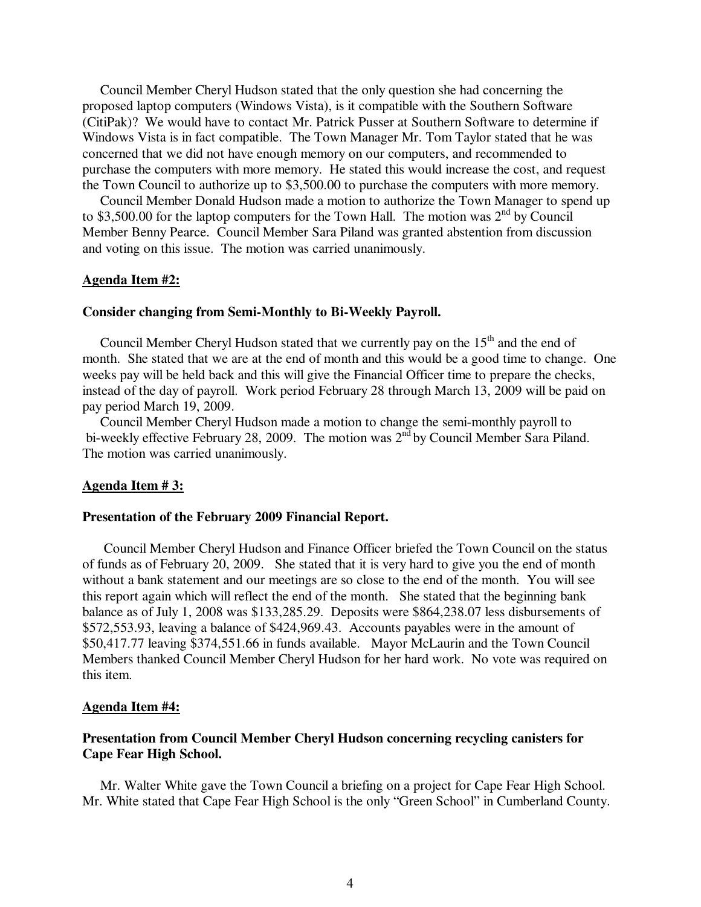Council Member Cheryl Hudson stated that the only question she had concerning the proposed laptop computers (Windows Vista), is it compatible with the Southern Software (CitiPak)? We would have to contact Mr. Patrick Pusser at Southern Software to determine if Windows Vista is in fact compatible. The Town Manager Mr. Tom Taylor stated that he was concerned that we did not have enough memory on our computers, and recommended to purchase the computers with more memory. He stated this would increase the cost, and request the Town Council to authorize up to \$3,500.00 to purchase the computers with more memory.

 Council Member Donald Hudson made a motion to authorize the Town Manager to spend up to \$3,500.00 for the laptop computers for the Town Hall. The motion was  $2^{nd}$  by Council Member Benny Pearce. Council Member Sara Piland was granted abstention from discussion and voting on this issue. The motion was carried unanimously.

#### **Agenda Item #2:**

## **Consider changing from Semi-Monthly to Bi-Weekly Payroll.**

Council Member Cheryl Hudson stated that we currently pay on the  $15<sup>th</sup>$  and the end of month. She stated that we are at the end of month and this would be a good time to change. One weeks pay will be held back and this will give the Financial Officer time to prepare the checks, instead of the day of payroll. Work period February 28 through March 13, 2009 will be paid on pay period March 19, 2009.

 Council Member Cheryl Hudson made a motion to change the semi-monthly payroll to bi-weekly effective February 28, 2009. The motion was 2<sup>nd</sup> by Council Member Sara Piland. The motion was carried unanimously.

#### **Agenda Item # 3:**

### **Presentation of the February 2009 Financial Report.**

 Council Member Cheryl Hudson and Finance Officer briefed the Town Council on the status of funds as of February 20, 2009. She stated that it is very hard to give you the end of month without a bank statement and our meetings are so close to the end of the month. You will see this report again which will reflect the end of the month. She stated that the beginning bank balance as of July 1, 2008 was \$133,285.29. Deposits were \$864,238.07 less disbursements of \$572,553.93, leaving a balance of \$424,969.43. Accounts payables were in the amount of \$50,417.77 leaving \$374,551.66 in funds available. Mayor McLaurin and the Town Council Members thanked Council Member Cheryl Hudson for her hard work. No vote was required on this item.

#### **Agenda Item #4:**

## **Presentation from Council Member Cheryl Hudson concerning recycling canisters for Cape Fear High School.**

 Mr. Walter White gave the Town Council a briefing on a project for Cape Fear High School. Mr. White stated that Cape Fear High School is the only "Green School" in Cumberland County.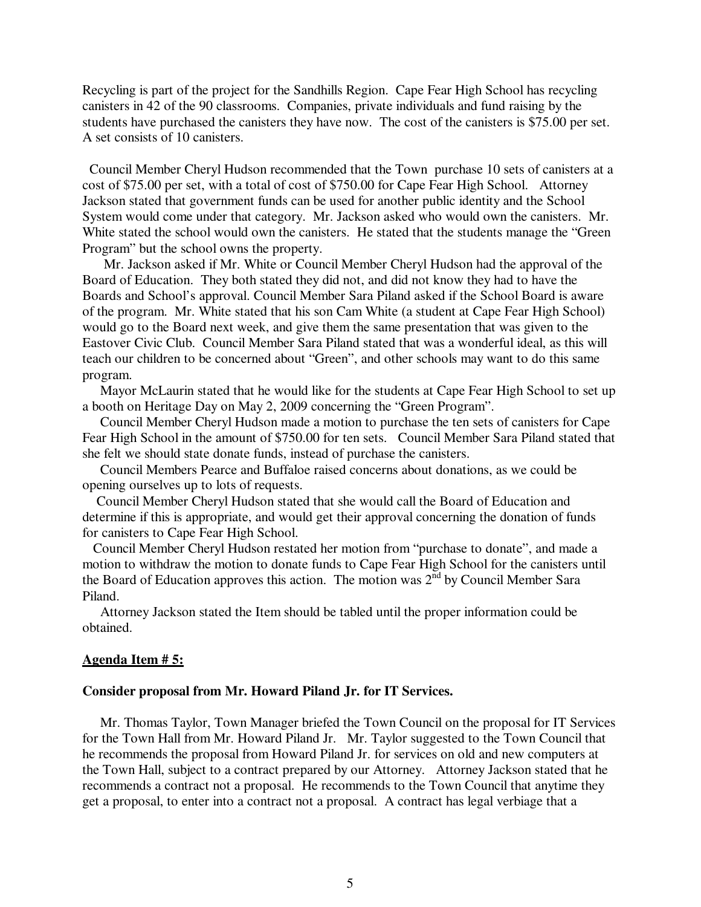Recycling is part of the project for the Sandhills Region. Cape Fear High School has recycling canisters in 42 of the 90 classrooms. Companies, private individuals and fund raising by the students have purchased the canisters they have now. The cost of the canisters is \$75.00 per set. A set consists of 10 canisters.

 Council Member Cheryl Hudson recommended that the Town purchase 10 sets of canisters at a cost of \$75.00 per set, with a total of cost of \$750.00 for Cape Fear High School. Attorney Jackson stated that government funds can be used for another public identity and the School System would come under that category. Mr. Jackson asked who would own the canisters. Mr. White stated the school would own the canisters. He stated that the students manage the "Green Program" but the school owns the property.

 Mr. Jackson asked if Mr. White or Council Member Cheryl Hudson had the approval of the Board of Education. They both stated they did not, and did not know they had to have the Boards and School's approval. Council Member Sara Piland asked if the School Board is aware of the program. Mr. White stated that his son Cam White (a student at Cape Fear High School) would go to the Board next week, and give them the same presentation that was given to the Eastover Civic Club. Council Member Sara Piland stated that was a wonderful ideal, as this will teach our children to be concerned about "Green", and other schools may want to do this same program.

 Mayor McLaurin stated that he would like for the students at Cape Fear High School to set up a booth on Heritage Day on May 2, 2009 concerning the "Green Program".

 Council Member Cheryl Hudson made a motion to purchase the ten sets of canisters for Cape Fear High School in the amount of \$750.00 for ten sets. Council Member Sara Piland stated that she felt we should state donate funds, instead of purchase the canisters.

 Council Members Pearce and Buffaloe raised concerns about donations, as we could be opening ourselves up to lots of requests.

 Council Member Cheryl Hudson stated that she would call the Board of Education and determine if this is appropriate, and would get their approval concerning the donation of funds for canisters to Cape Fear High School.

 Council Member Cheryl Hudson restated her motion from "purchase to donate", and made a motion to withdraw the motion to donate funds to Cape Fear High School for the canisters until the Board of Education approves this action. The motion was  $2^{\overline{n}d}$  by Council Member Sara Piland.

 Attorney Jackson stated the Item should be tabled until the proper information could be obtained.

#### **Agenda Item # 5:**

### **Consider proposal from Mr. Howard Piland Jr. for IT Services.**

 Mr. Thomas Taylor, Town Manager briefed the Town Council on the proposal for IT Services for the Town Hall from Mr. Howard Piland Jr. Mr. Taylor suggested to the Town Council that he recommends the proposal from Howard Piland Jr. for services on old and new computers at the Town Hall, subject to a contract prepared by our Attorney. Attorney Jackson stated that he recommends a contract not a proposal. He recommends to the Town Council that anytime they get a proposal, to enter into a contract not a proposal. A contract has legal verbiage that a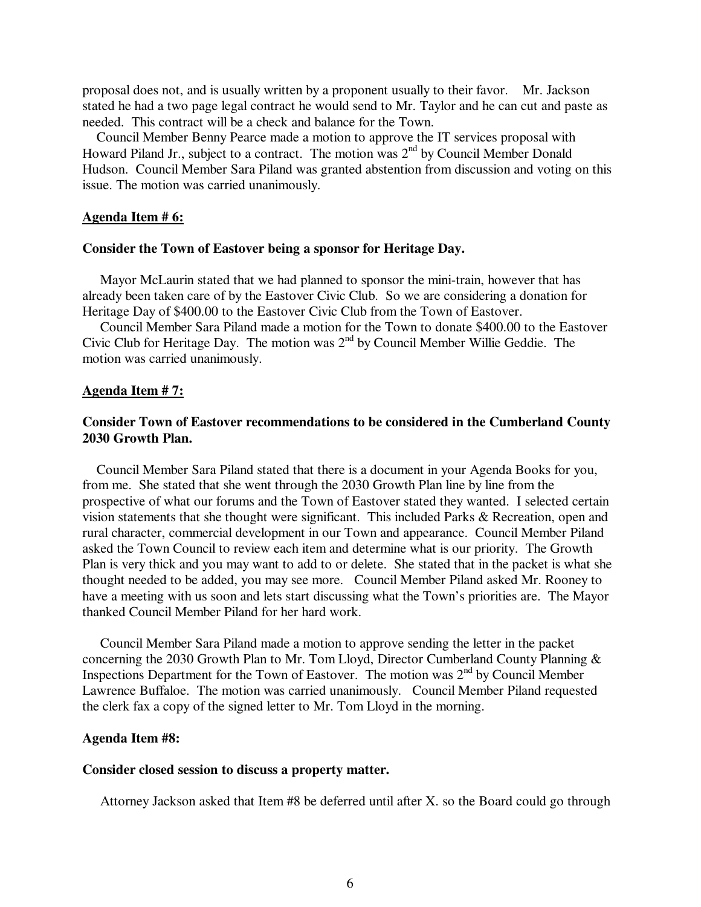proposal does not, and is usually written by a proponent usually to their favor. Mr. Jackson stated he had a two page legal contract he would send to Mr. Taylor and he can cut and paste as needed. This contract will be a check and balance for the Town.

 Council Member Benny Pearce made a motion to approve the IT services proposal with Howard Piland Jr., subject to a contract. The motion was  $2<sup>nd</sup>$  by Council Member Donald Hudson. Council Member Sara Piland was granted abstention from discussion and voting on this issue. The motion was carried unanimously.

### **Agenda Item # 6:**

### **Consider the Town of Eastover being a sponsor for Heritage Day.**

Mayor McLaurin stated that we had planned to sponsor the mini-train, however that has already been taken care of by the Eastover Civic Club. So we are considering a donation for Heritage Day of \$400.00 to the Eastover Civic Club from the Town of Eastover.

 Council Member Sara Piland made a motion for the Town to donate \$400.00 to the Eastover Civic Club for Heritage Day. The motion was  $2<sup>nd</sup>$  by Council Member Willie Geddie. The motion was carried unanimously.

## **Agenda Item # 7:**

## **Consider Town of Eastover recommendations to be considered in the Cumberland County 2030 Growth Plan.**

Council Member Sara Piland stated that there is a document in your Agenda Books for you, from me. She stated that she went through the 2030 Growth Plan line by line from the prospective of what our forums and the Town of Eastover stated they wanted. I selected certain vision statements that she thought were significant. This included Parks & Recreation, open and rural character, commercial development in our Town and appearance. Council Member Piland asked the Town Council to review each item and determine what is our priority. The Growth Plan is very thick and you may want to add to or delete. She stated that in the packet is what she thought needed to be added, you may see more. Council Member Piland asked Mr. Rooney to have a meeting with us soon and lets start discussing what the Town's priorities are. The Mayor thanked Council Member Piland for her hard work.

 Council Member Sara Piland made a motion to approve sending the letter in the packet concerning the 2030 Growth Plan to Mr. Tom Lloyd, Director Cumberland County Planning & Inspections Department for the Town of Eastover. The motion was 2<sup>nd</sup> by Council Member Lawrence Buffaloe. The motion was carried unanimously. Council Member Piland requested the clerk fax a copy of the signed letter to Mr. Tom Lloyd in the morning.

## **Agenda Item #8:**

## **Consider closed session to discuss a property matter.**

Attorney Jackson asked that Item #8 be deferred until after X. so the Board could go through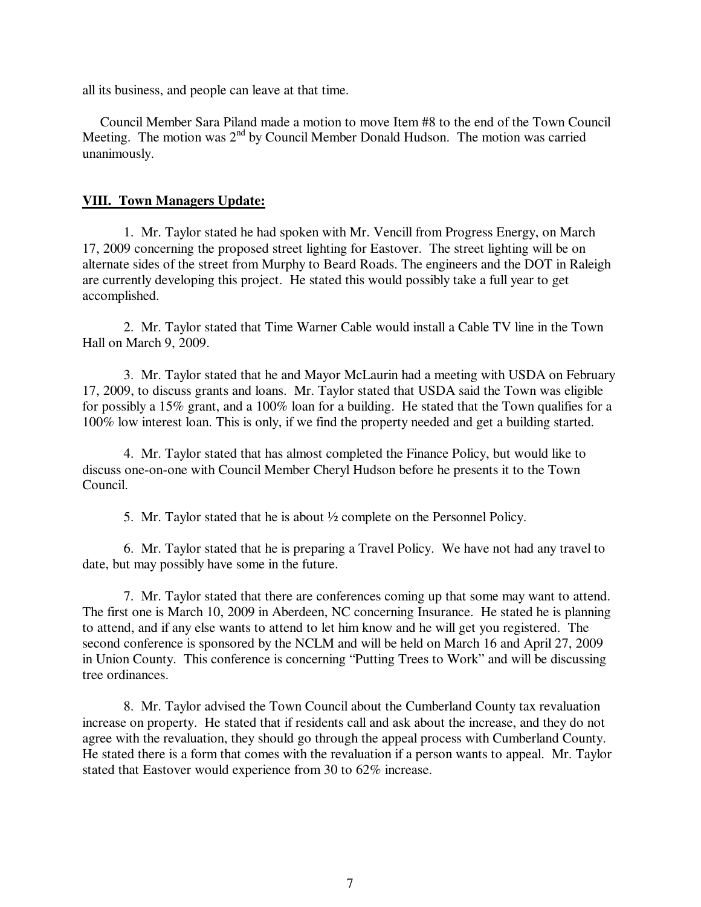all its business, and people can leave at that time.

 Council Member Sara Piland made a motion to move Item #8 to the end of the Town Council Meeting. The motion was 2<sup>nd</sup> by Council Member Donald Hudson. The motion was carried unanimously.

## **VIII. Town Managers Update:**

 1. Mr. Taylor stated he had spoken with Mr. Vencill from Progress Energy, on March 17, 2009 concerning the proposed street lighting for Eastover. The street lighting will be on alternate sides of the street from Murphy to Beard Roads. The engineers and the DOT in Raleigh are currently developing this project. He stated this would possibly take a full year to get accomplished.

2. Mr. Taylor stated that Time Warner Cable would install a Cable TV line in the Town Hall on March 9, 2009.

 3. Mr. Taylor stated that he and Mayor McLaurin had a meeting with USDA on February 17, 2009, to discuss grants and loans. Mr. Taylor stated that USDA said the Town was eligible for possibly a 15% grant, and a 100% loan for a building. He stated that the Town qualifies for a 100% low interest loan. This is only, if we find the property needed and get a building started.

 4. Mr. Taylor stated that has almost completed the Finance Policy, but would like to discuss one-on-one with Council Member Cheryl Hudson before he presents it to the Town Council.

5. Mr. Taylor stated that he is about ½ complete on the Personnel Policy.

 6. Mr. Taylor stated that he is preparing a Travel Policy. We have not had any travel to date, but may possibly have some in the future.

 7. Mr. Taylor stated that there are conferences coming up that some may want to attend. The first one is March 10, 2009 in Aberdeen, NC concerning Insurance. He stated he is planning to attend, and if any else wants to attend to let him know and he will get you registered. The second conference is sponsored by the NCLM and will be held on March 16 and April 27, 2009 in Union County. This conference is concerning "Putting Trees to Work" and will be discussing tree ordinances.

 8. Mr. Taylor advised the Town Council about the Cumberland County tax revaluation increase on property. He stated that if residents call and ask about the increase, and they do not agree with the revaluation, they should go through the appeal process with Cumberland County. He stated there is a form that comes with the revaluation if a person wants to appeal. Mr. Taylor stated that Eastover would experience from 30 to 62% increase.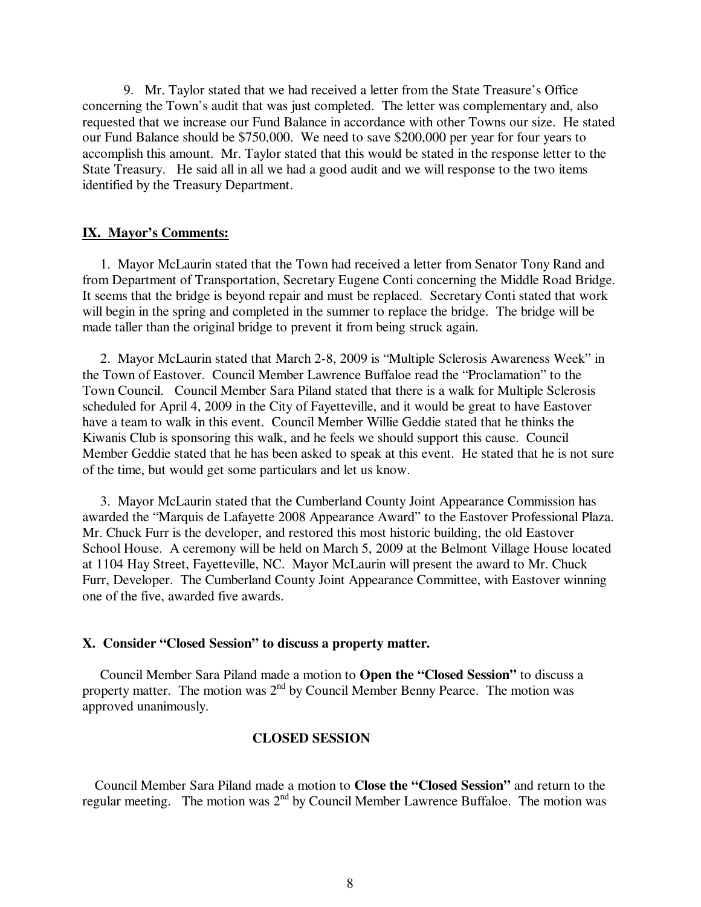9. Mr. Taylor stated that we had received a letter from the State Treasure's Office concerning the Town's audit that was just completed. The letter was complementary and, also requested that we increase our Fund Balance in accordance with other Towns our size. He stated our Fund Balance should be \$750,000. We need to save \$200,000 per year for four years to accomplish this amount. Mr. Taylor stated that this would be stated in the response letter to the State Treasury. He said all in all we had a good audit and we will response to the two items identified by the Treasury Department.

## **IX. Mayor's Comments:**

 1. Mayor McLaurin stated that the Town had received a letter from Senator Tony Rand and from Department of Transportation, Secretary Eugene Conti concerning the Middle Road Bridge. It seems that the bridge is beyond repair and must be replaced. Secretary Conti stated that work will begin in the spring and completed in the summer to replace the bridge. The bridge will be made taller than the original bridge to prevent it from being struck again.

 2. Mayor McLaurin stated that March 2-8, 2009 is "Multiple Sclerosis Awareness Week" in the Town of Eastover. Council Member Lawrence Buffaloe read the "Proclamation" to the Town Council. Council Member Sara Piland stated that there is a walk for Multiple Sclerosis scheduled for April 4, 2009 in the City of Fayetteville, and it would be great to have Eastover have a team to walk in this event. Council Member Willie Geddie stated that he thinks the Kiwanis Club is sponsoring this walk, and he feels we should support this cause. Council Member Geddie stated that he has been asked to speak at this event. He stated that he is not sure of the time, but would get some particulars and let us know.

 3. Mayor McLaurin stated that the Cumberland County Joint Appearance Commission has awarded the "Marquis de Lafayette 2008 Appearance Award" to the Eastover Professional Plaza. Mr. Chuck Furr is the developer, and restored this most historic building, the old Eastover School House. A ceremony will be held on March 5, 2009 at the Belmont Village House located at 1104 Hay Street, Fayetteville, NC. Mayor McLaurin will present the award to Mr. Chuck Furr, Developer. The Cumberland County Joint Appearance Committee, with Eastover winning one of the five, awarded five awards.

## **X. Consider "Closed Session" to discuss a property matter.**

 Council Member Sara Piland made a motion to **Open the "Closed Session"** to discuss a property matter. The motion was  $2<sup>nd</sup>$  by Council Member Benny Pearce. The motion was approved unanimously.

## **CLOSED SESSION**

 Council Member Sara Piland made a motion to **Close the "Closed Session"** and return to the regular meeting. The motion was 2<sup>nd</sup> by Council Member Lawrence Buffaloe. The motion was